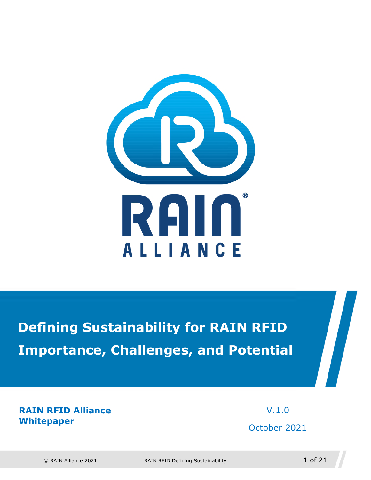

**Defining Sustainability for RAIN RFID Importance, Challenges, and Potential** 

**RAIN RFID Alliance Whitepaper** 

 V.1.0 October 2021

© RAIN Alliance 2021 RAIN RFID Defining Sustainability 1 of 21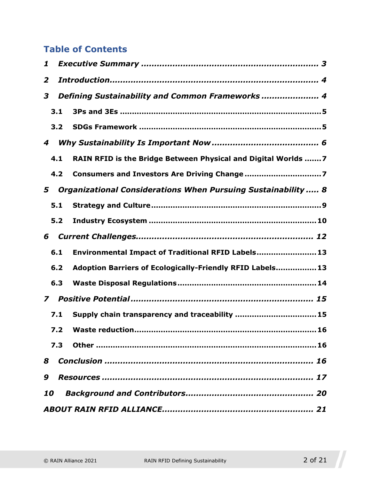#### **Table of Contents**

| 1 |     |                                                                |  |
|---|-----|----------------------------------------------------------------|--|
| 2 |     |                                                                |  |
| 3 |     | Defining Sustainability and Common Frameworks  4               |  |
|   | 3.1 |                                                                |  |
|   | 3.2 |                                                                |  |
| 4 |     |                                                                |  |
|   | 4.1 | RAIN RFID is the Bridge Between Physical and Digital Worlds  7 |  |
|   | 4.2 |                                                                |  |
| 5 |     | Organizational Considerations When Pursuing Sustainability  8  |  |
|   | 5.1 |                                                                |  |
|   | 5.2 |                                                                |  |
| 6 |     |                                                                |  |
|   | 6.1 | Environmental Impact of Traditional RFID Labels 13             |  |
|   | 6.2 | Adoption Barriers of Ecologically-Friendly RFID Labels 13      |  |
|   | 6.3 |                                                                |  |
| 7 |     |                                                                |  |
|   | 7.1 | Supply chain transparency and traceability  15                 |  |
|   |     |                                                                |  |
|   | 7.3 |                                                                |  |
| 8 |     |                                                                |  |
| 9 |     |                                                                |  |
|   | 10  |                                                                |  |
|   |     |                                                                |  |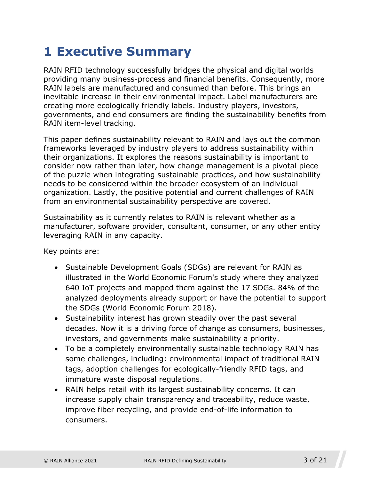# <span id="page-2-0"></span>**1 Executive Summary**

RAIN RFID technology successfully bridges the physical and digital worlds providing many business-process and financial benefits. Consequently, more RAIN labels are manufactured and consumed than before. This brings an inevitable increase in their environmental impact. Label manufacturers are creating more ecologically friendly labels. Industry players, investors, governments, and end consumers are finding the sustainability benefits from RAIN item-level tracking.

This paper defines sustainability relevant to RAIN and lays out the common frameworks leveraged by industry players to address sustainability within their organizations. It explores the reasons sustainability is important to consider now rather than later, how change management is a pivotal piece of the puzzle when integrating sustainable practices, and how sustainability needs to be considered within the broader ecosystem of an individual organization. Lastly, the positive potential and current challenges of RAIN from an environmental sustainability perspective are covered.

Sustainability as it currently relates to RAIN is relevant whether as a manufacturer, software provider, consultant, consumer, or any other entity leveraging RAIN in any capacity.

Key points are:

- Sustainable Development Goals (SDGs) are relevant for RAIN as illustrated in the World Economic Forum's study where they analyzed 640 IoT projects and mapped them against the 17 SDGs. 84% of the analyzed deployments already support or have the potential to support the SDGs (World Economic Forum 2018).
- Sustainability interest has grown steadily over the past several decades. Now it is a driving force of change as consumers, businesses, investors, and governments make sustainability a priority.
- To be a completely environmentally sustainable technology RAIN has some challenges, including: environmental impact of traditional RAIN tags, adoption challenges for ecologically-friendly RFID tags, and immature waste disposal regulations.
- RAIN helps retail with its largest sustainability concerns. It can increase supply chain transparency and traceability, reduce waste, improve fiber recycling, and provide end-of-life information to consumers.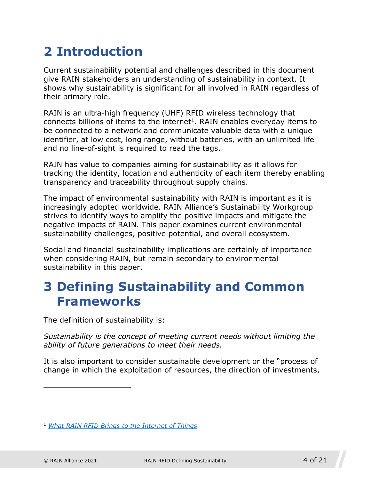# <span id="page-3-0"></span>**2 Introduction**

Current sustainability potential and challenges described in this document give RAIN stakeholders an understanding of sustainability in context. It shows why sustainability is significant for all involved in RAIN regardless of their primary role.

RAIN is an ultra-high frequency (UHF) R[FI](#page-3-2)D wireless technology that connects billions of items to the internet<sup>1</sup>. RAIN enables everyday items to be connected to a network and communicate valuable data with a unique identifier, at low cost, long range, without batteries, with an unlimited life and no line-of-sight is required to read the tags.

RAIN has value to companies aiming for sustainability as it allows for tracking the identity, location and authenticity of each item thereby enabling transparency and traceability throughout supply chains.

The impact of environmental sustainability with RAIN is important as it is increasingly adopted worldwide. RAIN Alliance's Sustainability Workgroup strives to identify ways to amplify the positive impacts and mitigate the negative impacts of RAIN. This paper examines current environmental sustainability challenges, positive potential, and overall ecosystem.

Social and financial sustainability implications are certainly of importance when considering RAIN, but remain secondary to environmental sustainability in this paper.

### <span id="page-3-1"></span>**3 Defining Sustainability and Common Frameworks**

The definition of sustainability is:

*Sustainability is the concept of meeting current needs without limiting the ability of future generations to meet their needs.* 

It is also important to consider sustainable development or the "process of change in which the exploitation of resources, the direction of investments,

<span id="page-3-2"></span><sup>1</sup> *What RAIN RFID Brings to the Internet of Things*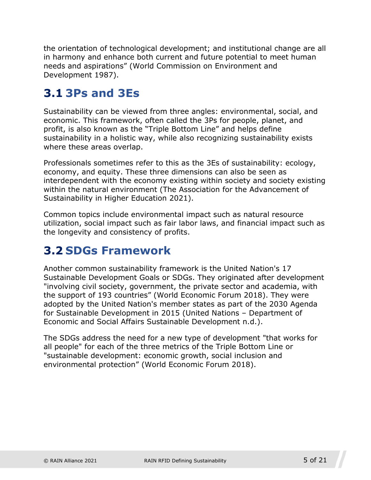the orientation of technological development; and institutional change are all in harmony and enhance both current and future potential to meet human needs and aspirations" (World Commission on Environment and Development 1987).

### <span id="page-4-0"></span>**3.1 3Ps and 3Es**

Sustainability can be viewed from three angles: environmental, social, and economic. This framework, often called the 3Ps for people, planet, and profit, is also known as the "Triple Bottom Line" and helps define sustainability in a holistic way, while also recognizing sustainability exists where these areas overlap.

Professionals sometimes refer to this as the 3Es of sustainability: ecology, economy, and equity. These three dimensions can also be seen as interdependent with the economy existing within society and society existing within the natural environment (The Association for the Advancement of Sustainability in Higher Education 2021).

Common topics include environmental impact such as natural resource utilization, social impact such as fair labor laws, and financial impact such as the longevity and consistency of profits.

### <span id="page-4-1"></span>**3.2 SDGs Framework**

Another common sustainability framework is the United Nation's 17 Sustainable Development Goals or SDGs. They originated after development "involving civil society, government, the private sector and academia, with the support of 193 countries" (World Economic Forum 2018). They were adopted by the United Nation's member states as part of the 2030 Agenda for Sustainable Development in 2015 (United Nations – Department of Economic and Social Affairs Sustainable Development n.d.).

The SDGs address the need for a new type of development "that works for all people" for each of the three metrics of the Triple Bottom Line or "sustainable development: economic growth, social inclusion and environmental protection" (World Economic Forum 2018).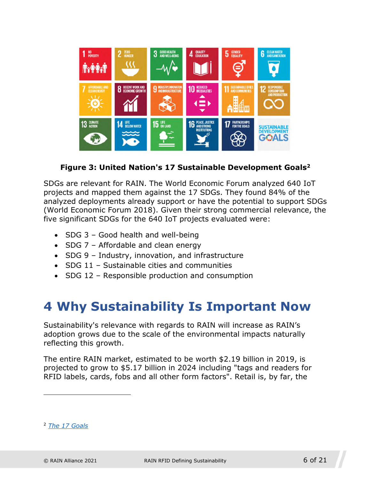

**Figure 3: United Nation's 17 Sustainable Development Goals[2](#page-5-1)**

SDGs are relevant for RAIN. The World Economic Forum analyzed 640 IoT projects and mapped them against the 17 SDGs. They found 84% of the analyzed deployments already support or have the potential to support SDGs (World Economic Forum 2018). Given their strong commercial relevance, the five significant SDGs for the 640 IoT projects evaluated were:

- $\bullet$  SDG 3 Good health and well-being
- $\bullet$  SDG 7 Affordable and clean energy
- SDG 9 Industry, innovation, and infrastructure
- SDG 11 Sustainable cities and communities
- SDG 12 Responsible production and consumption

### <span id="page-5-0"></span>**4 Why Sustainability Is Important Now**

Sustainability's relevance with regards to RAIN will increase as RAIN's adoption grows due to the scale of the environmental impacts naturally reflecting this growth.

The entire RAIN market, estimated to be worth \$2.19 billion in 2019, is projected to grow to \$5.17 billion in 2024 including "tags and readers for RFID labels, cards, fobs and all other form factors". Retail is, by far, the

<span id="page-5-1"></span><sup>2</sup> *The 17 Goals*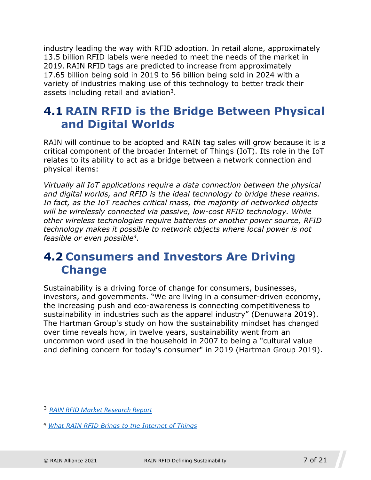industry leading the way with RFID adoption. In retail alone, approximately 13.5 billion RFID labels were needed to meet the needs of the market in 2019. RAIN RFID tags are predicted to increase from approximately 17.65 billion being sold in 2019 to 56 billion being sold in 2024 with a variety of industries making use o[f t](#page-6-2)his technology to better track their assets including retail and aviation<sup>3</sup>.

### <span id="page-6-0"></span>**4.1 RAIN RFID is the Bridge Between Physical and Digital Worlds**

RAIN will continue to be adopted and RAIN tag sales will grow because it is a critical component of the broader Internet of Things (IoT). Its role in the IoT relates to its ability to act as a bridge between a network connection and physical items:

*Virtually all IoT applications require a data connection between the physical and digital worlds, and RFID is the ideal technology to bridge these realms. In fact, as the IoT reaches critical mass, the majority of networked objects will be wirelessly connected via passive, low-cost RFID technology. While other wireless technologies require batteries or another power source, RFID technology makes it pos[si](#page-6-3)ble to network objects where local power is not feasible or even possible<sup>4</sup> .*

### <span id="page-6-1"></span>**4.2 Consumers and Investors Are Driving Change**

Sustainability is a driving force of change for consumers, businesses, investors, and governments. "We are living in a consumer-driven economy, the increasing push and eco-awareness is connecting competitiveness to sustainability in industries such as the apparel industry" (Denuwara 2019). The Hartman Group's study on how the sustainability mindset has changed over time reveals how, in twelve years, sustainability went from an uncommon word used in the household in 2007 to being a "cultural value and defining concern for today's consumer" in 2019 (Hartman Group 2019).

<span id="page-6-2"></span><sup>3</sup> *RAIN RFID Market Research Report*

<span id="page-6-3"></span><sup>4</sup> *What RAIN RFID Brings to the Internet of Things*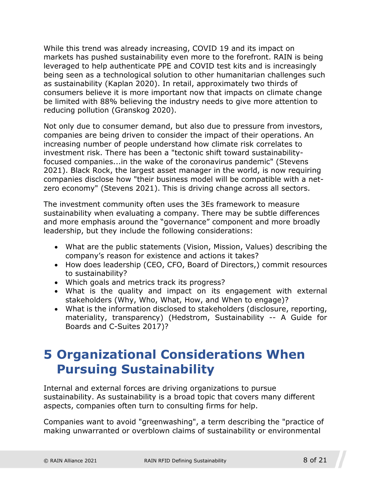While this trend was already increasing, COVID 19 and its impact on markets has pushed sustainability even more to the forefront. RAIN is being leveraged to help authenticate PPE and COVID test kits and is increasingly being seen as a technological solution to other humanitarian challenges such as sustainability (Kaplan 2020). In retail, approximately two thirds of consumers believe it is more important now that impacts on climate change be limited with 88% believing the industry needs to give more attention to reducing pollution (Granskog 2020).

Not only due to consumer demand, but also due to pressure from investors, companies are being driven to consider the impact of their operations. An increasing number of people understand how climate risk correlates to investment risk. There has been a "tectonic shift toward sustainabilityfocused companies...in the wake of the coronavirus pandemic" (Stevens 2021). Black Rock, the largest asset manager in the world, is now requiring companies disclose how "their business model will be compatible with a netzero economy" (Stevens 2021). This is driving change across all sectors.

The investment community often uses the 3Es framework to measure sustainability when evaluating a company. There may be subtle differences and more emphasis around the "governance" component and more broadly leadership, but they include the following considerations:

- What are the public statements (Vision, Mission, Values) describing the company's reason for existence and actions it takes?
- How does leadership (CEO, CFO, Board of Directors,) commit resources to sustainability?
- Which goals and metrics track its progress?
- What is the quality and impact on its engagement with external stakeholders (Why, Who, What, How, and When to engage)?
- What is the information disclosed to stakeholders (disclosure, reporting, materiality, transparency) (Hedstrom, Sustainability -- A Guide for Boards and C-Suites 2017)?

### <span id="page-7-0"></span>**5 Organizational Considerations When Pursuing Sustainability**

Internal and external forces are driving organizations to pursue sustainability. As sustainability is a broad topic that covers many different aspects, companies often turn to consulting firms for help.

Companies want to avoid "greenwashing", a term describing the "practice of making unwarranted or overblown claims of sustainability or environmental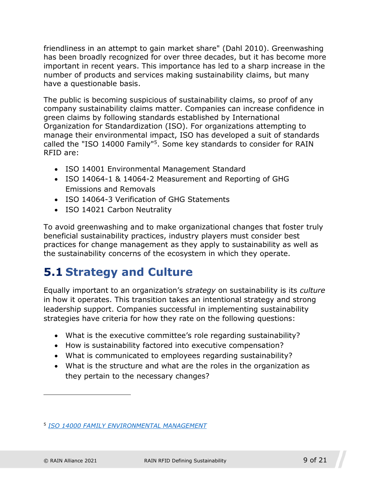friendliness in an attempt to gain market share" (Dahl 2010). Greenwashing has been broadly recognized for over three decades, but it has become more important in recent years. This importance has led to a sharp increase in the number of products and services making sustainability claims, but many have a questionable basis.

The public is becoming suspicious of sustainability claims, so proof of any company sustainability claims matter. Companies can increase confidence in green claims by following standards established by International Organization for Standardization (ISO). For organizations attempting to manage their environmental i[m](#page-8-1)pact, ISO has developed a suit of standards called the "ISO 14000 Family"<sup>5</sup>. Some key standards to consider for RAIN RFID are:

- ISO 14001 Environmental Management Standard
- ISO 14064-1 & 14064-2 Measurement and Reporting of GHG Emissions and Removals
- ISO 14064-3 Verification of GHG Statements
- ISO 14021 Carbon Neutrality

To avoid greenwashing and to make organizational changes that foster truly beneficial sustainability practices, industry players must consider best practices for change management as they apply to sustainability as well as the sustainability concerns of the ecosystem in which they operate.

### <span id="page-8-0"></span>**5.1 Strategy and Culture**

Equally important to an organization's *strategy* on sustainability is its *culture* in how it operates. This transition takes an intentional strategy and strong leadership support. Companies successful in implementing sustainability strategies have criteria for how they rate on the following questions:

- What is the executive committee's role regarding sustainability?
- How is sustainability factored into executive compensation?
- What is communicated to employees regarding sustainability?
- What is the structure and what are the roles in the organization as they pertain to the necessary changes?

<span id="page-8-1"></span><sup>5</sup> *ISO 14000 FAMILY ENVIRONMENTAL MANAGEMENT*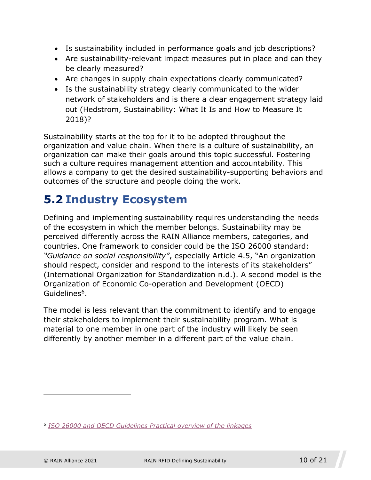- Is sustainability included in performance goals and job descriptions?
- Are sustainability-relevant impact measures put in place and can they be clearly measured?
- Are changes in supply chain expectations clearly communicated?
- Is the sustainability strategy clearly communicated to the wider network of stakeholders and is there a clear engagement strategy laid out (Hedstrom, Sustainability: What It Is and How to Measure It 2018)?

Sustainability starts at the top for it to be adopted throughout the organization and value chain. When there is a culture of sustainability, an organization can make their goals around this topic successful. Fostering such a culture requires management attention and accountability. This allows a company to get the desired sustainability-supporting behaviors and outcomes of the structure and people doing the work.

### <span id="page-9-0"></span>**5.2 Industry Ecosystem**

Defining and implementing sustainability requires understanding the needs of the ecosystem in which the member belongs. Sustainability may be perceived differently across the RAIN Alliance members, categories, and countries. One framework to consider could be the ISO 26000 standard: *"Guidance on social responsibility"*, especially Article 4.5, "An organization should respect, consider and respond to the interests of its stakeholders" (International Organization for Standardization n.d.). A second model is the Organizati[on](#page-9-1) of Economic Co-operation and Development (OECD) Guidelines<sup>6</sup>.

The model is less relevant than the commitment to identify and to engage their stakeholders to implement their sustainability program. What is material to one member in one part of the industry will likely be seen differently by another member in a different part of the value chain.

<span id="page-9-1"></span><sup>6</sup> *ISO 26000 and OECD Guidelines Practical overview of the linkages*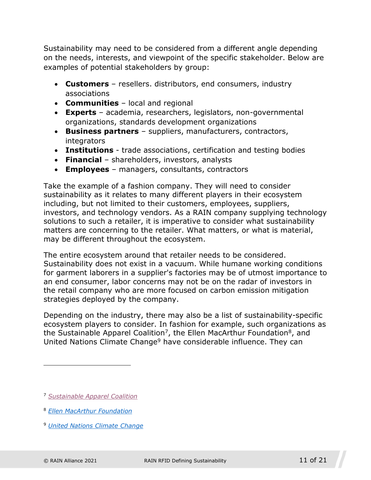Sustainability may need to be considered from a different angle depending on the needs, interests, and viewpoint of the specific stakeholder. Below are examples of potential stakeholders by group:

- **Customers**  resellers. distributors, end consumers, industry associations
- **Communities**  local and regional
- **Experts**  academia, researchers, legislators, non-governmental organizations, standards development organizations
- **Business partners**  suppliers, manufacturers, contractors, integrators
- **Institutions**  trade associations, certification and testing bodies
- **Financial**  shareholders, investors, analysts
- **Employees**  managers, consultants, contractors

Take the example of a fashion company. They will need to consider sustainability as it relates to many different players in their ecosystem including, but not limited to their customers, employees, suppliers, investors, and technology vendors. As a RAIN company supplying technology solutions to such a retailer, it is imperative to consider what sustainability matters are concerning to the retailer. What matters, or what is material, may be different throughout the ecosystem.

The entire ecosystem around that retailer needs to be considered. Sustainability does not exist in a vacuum. While humane working conditions for garment laborers in a supplier's factories may be of utmost importance to an end consumer, labor concerns may not be on the radar of investors in the retail company who are more focused on carbon emission mitigation strategies deployed by the company.

Depending on the industry, there may also be a list of sustainability-specific ecosystem players to consider. I[n f](#page-10-0)ashion for example, such organ[iz](#page-10-1)ations as the Sustainable Apparel Coaliti[on](#page-10-2)<sup>7</sup>, the Ellen MacArthur Foundation<sup>8</sup>, and United Nations Climate Change<sup>9</sup> have considerable influence. They can

- <span id="page-10-1"></span><sup>8</sup> *Ellen MacArthur Foundation*
- <span id="page-10-2"></span><sup>9</sup> *United Nations Climate Change*

<span id="page-10-0"></span><sup>7</sup> *Sustainable Apparel Coalition*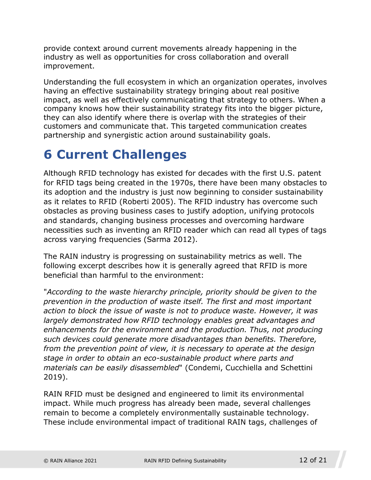provide context around current movements already happening in the industry as well as opportunities for cross collaboration and overall improvement.

Understanding the full ecosystem in which an organization operates, involves having an effective sustainability strategy bringing about real positive impact, as well as effectively communicating that strategy to others. When a company knows how their sustainability strategy fits into the bigger picture, they can also identify where there is overlap with the strategies of their customers and communicate that. This targeted communication creates partnership and synergistic action around sustainability goals.

## <span id="page-11-0"></span>**6 Current Challenges**

Although RFID technology has existed for decades with the first U.S. patent for RFID tags being created in the 1970s, there have been many obstacles to its adoption and the industry is just now beginning to consider sustainability as it relates to RFID (Roberti 2005). The RFID industry has overcome such obstacles as proving business cases to justify adoption, unifying protocols and standards, changing business processes and overcoming hardware necessities such as inventing an RFID reader which can read all types of tags across varying frequencies (Sarma 2012).

The RAIN industry is progressing on sustainability metrics as well. The following excerpt describes how it is generally agreed that RFID is more beneficial than harmful to the environment:

"*According to the waste hierarchy principle, priority should be given to the prevention in the production of waste itself. The first and most important action to block the issue of waste is not to produce waste. However, it was largely demonstrated how RFID technology enables great advantages and enhancements for the environment and the production. Thus, not producing such devices could generate more disadvantages than benefits. Therefore, from the prevention point of view, it is necessary to operate at the design stage in order to obtain an eco-sustainable product where parts and materials can be easily disassembled*" (Condemi, Cucchiella and Schettini 2019).

RAIN RFID must be designed and engineered to limit its environmental impact. While much progress has already been made, several challenges remain to become a completely environmentally sustainable technology. These include environmental impact of traditional RAIN tags, challenges of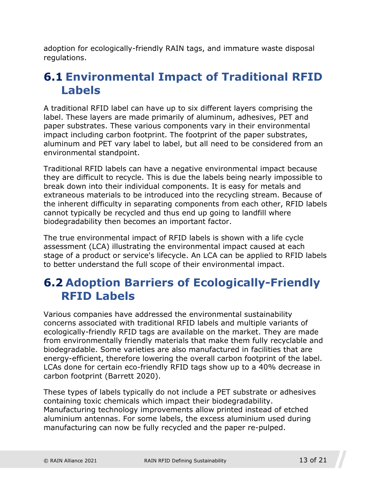adoption for ecologically-friendly RAIN tags, and immature waste disposal regulations.

#### <span id="page-12-0"></span>**6.1 Environmental Impact of Traditional RFID Labels**

A traditional RFID label can have up to six different layers comprising the label. These layers are made primarily of aluminum, adhesives, PET and paper substrates. These various components vary in their environmental impact including carbon footprint. The footprint of the paper substrates, aluminum and PET vary label to label, but all need to be considered from an environmental standpoint.

Traditional RFID labels can have a negative environmental impact because they are difficult to recycle. This is due the labels being nearly impossible to break down into their individual components. It is easy for metals and extraneous materials to be introduced into the recycling stream. Because of the inherent difficulty in separating components from each other, RFID labels cannot typically be recycled and thus end up going to landfill where biodegradability then becomes an important factor.

The true environmental impact of RFID labels is shown with a life cycle assessment (LCA) illustrating the environmental impact caused at each stage of a product or service's lifecycle. An LCA can be applied to RFID labels to better understand the full scope of their environmental impact.

#### <span id="page-12-1"></span>**6.2 Adoption Barriers of Ecologically-Friendly RFID Labels**

Various companies have addressed the environmental sustainability concerns associated with traditional RFID labels and multiple variants of ecologically-friendly RFID tags are available on the market. They are made from environmentally friendly materials that make them fully recyclable and biodegradable. Some varieties are also manufactured in facilities that are energy-efficient, therefore lowering the overall carbon footprint of the label. LCAs done for certain eco-friendly RFID tags show up to a 40% decrease in carbon footprint (Barrett 2020).

These types of labels typically do not include a PET substrate or adhesives containing toxic chemicals which impact their biodegradability. Manufacturing technology improvements allow printed instead of etched aluminium antennas. For some labels, the excess aluminium used during manufacturing can now be fully recycled and the paper re-pulped.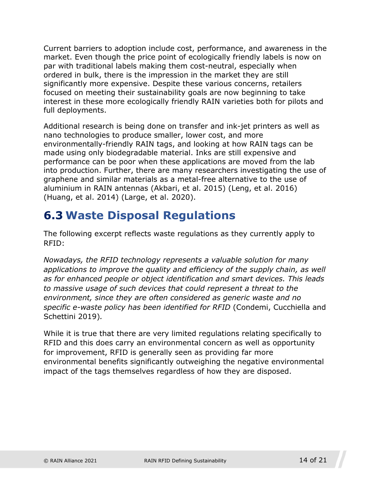Current barriers to adoption include cost, performance, and awareness in the market. Even though the price point of ecologically friendly labels is now on par with traditional labels making them cost-neutral, especially when ordered in bulk, there is the impression in the market they are still significantly more expensive. Despite these various concerns, retailers focused on meeting their sustainability goals are now beginning to take interest in these more ecologically friendly RAIN varieties both for pilots and full deployments.

Additional research is being done on transfer and ink-jet printers as well as nano technologies to produce smaller, lower cost, and more environmentally-friendly RAIN tags, and looking at how RAIN tags can be made using only biodegradable material. Inks are still expensive and performance can be poor when these applications are moved from the lab into production. Further, there are many researchers investigating the use of graphene and similar materials as a metal-free alternative to the use of aluminium in RAIN antennas (Akbari, et al. 2015) (Leng, et al. 2016) (Huang, et al. 2014) (Large, et al. 2020).

### <span id="page-13-0"></span>**6.3 Waste Disposal Regulations**

The following excerpt reflects waste regulations as they currently apply to RFID:

*Nowadays, the RFID technology represents a valuable solution for many applications to improve the quality and efficiency of the supply chain, as well as for enhanced people or object identification and smart devices. This leads to massive usage of such devices that could represent a threat to the environment, since they are often considered as generic waste and no specific e-waste policy has been identified for RFID* (Condemi, Cucchiella and Schettini 2019)*.* 

While it is true that there are very limited regulations relating specifically to RFID and this does carry an environmental concern as well as opportunity for improvement, RFID is generally seen as providing far more environmental benefits significantly outweighing the negative environmental impact of the tags themselves regardless of how they are disposed.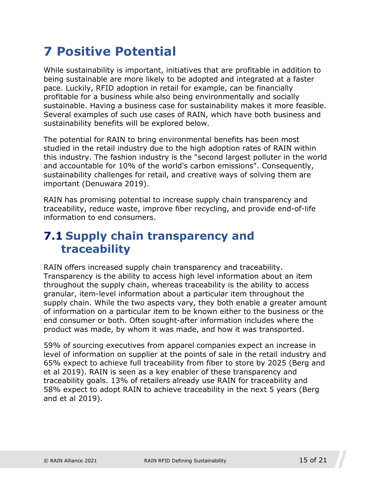# <span id="page-14-0"></span>**7 Positive Potential**

While sustainability is important, initiatives that are profitable in addition to being sustainable are more likely to be adopted and integrated at a faster pace. Luckily, RFID adoption in retail for example, can be financially profitable for a business while also being environmentally and socially sustainable. Having a business case for sustainability makes it more feasible. Several examples of such use cases of RAIN, which have both business and sustainability benefits will be explored below.

The potential for RAIN to bring environmental benefits has been most studied in the retail industry due to the high adoption rates of RAIN within this industry. The fashion industry is the "second largest polluter in the world and accountable for 10% of the world's carbon emissions". Consequently, sustainability challenges for retail, and creative ways of solving them are important (Denuwara 2019).

RAIN has promising potential to increase supply chain transparency and traceability, reduce waste, improve fiber recycling, and provide end-of-life information to end consumers.

#### <span id="page-14-1"></span>**7.1 Supply chain transparency and traceability**

RAIN offers increased supply chain transparency and traceability. Transparency is the ability to access high level information about an item throughout the supply chain, whereas traceability is the ability to access granular, item-level information about a particular item throughout the supply chain. While the two aspects vary, they both enable a greater amount of information on a particular item to be known either to the business or the end consumer or both. Often sought-after information includes where the product was made, by whom it was made, and how it was transported.

59% of sourcing executives from apparel companies expect an increase in level of information on supplier at the points of sale in the retail industry and 65% expect to achieve full traceability from fiber to store by 2025 (Berg and et al 2019). RAIN is seen as a key enabler of these transparency and traceability goals. 13% of retailers already use RAIN for traceability and 58% expect to adopt RAIN to achieve traceability in the next 5 years (Berg and et al 2019).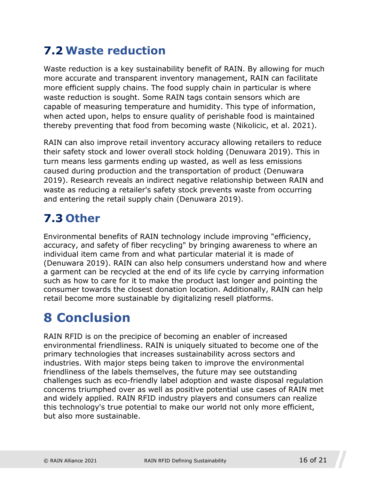### <span id="page-15-0"></span>**7.2 Waste reduction**

Waste reduction is a key sustainability benefit of RAIN. By allowing for much more accurate and transparent inventory management, RAIN can facilitate more efficient supply chains. The food supply chain in particular is where waste reduction is sought. Some RAIN tags contain sensors which are capable of measuring temperature and humidity. This type of information, when acted upon, helps to ensure quality of perishable food is maintained thereby preventing that food from becoming waste (Nikolicic, et al. 2021).

RAIN can also improve retail inventory accuracy allowing retailers to reduce their safety stock and lower overall stock holding (Denuwara 2019). This in turn means less garments ending up wasted, as well as less emissions caused during production and the transportation of product (Denuwara 2019). Research reveals an indirect negative relationship between RAIN and waste as reducing a retailer's safety stock prevents waste from occurring and entering the retail supply chain (Denuwara 2019).

### <span id="page-15-1"></span>**7.3 Other**

Environmental benefits of RAIN technology include improving "efficiency, accuracy, and safety of fiber recycling" by bringing awareness to where an individual item came from and what particular material it is made of (Denuwara 2019). RAIN can also help consumers understand how and where a garment can be recycled at the end of its life cycle by carrying information such as how to care for it to make the product last longer and pointing the consumer towards the closest donation location. Additionally, RAIN can help retail become more sustainable by digitalizing resell platforms.

# <span id="page-15-2"></span>**8 Conclusion**

RAIN RFID is on the precipice of becoming an enabler of increased environmental friendliness. RAIN is uniquely situated to become one of the primary technologies that increases sustainability across sectors and industries. With major steps being taken to improve the environmental friendliness of the labels themselves, the future may see outstanding challenges such as eco-friendly label adoption and waste disposal regulation concerns triumphed over as well as positive potential use cases of RAIN met and widely applied. RAIN RFID industry players and consumers can realize this technology's true potential to make our world not only more efficient, but also more sustainable.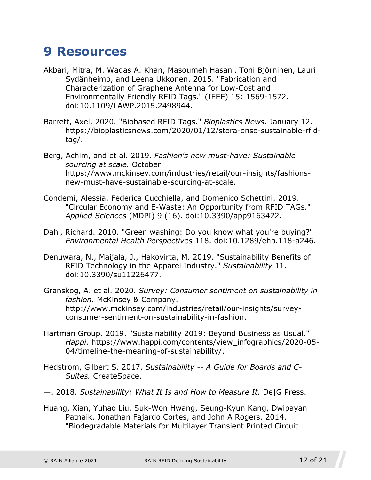### <span id="page-16-0"></span>**9 Resources**

- Akbari, Mitra, M. Waqas A. Khan, Masoumeh Hasani, Toni Björninen, Lauri Sydänheimo, and Leena Ukkonen. 2015. "Fabrication and Characterization of Graphene Antenna for Low-Cost and Environmentally Friendly RFID Tags." (IEEE) 15: 1569-1572. doi:10.1109/LAWP.2015.2498944.
- Barrett, Axel. 2020. "Biobased RFID Tags." *Bioplastics News.* January 12. https://bioplasticsnews.com/2020/01/12/stora-enso-sustainable-rfidtag/.
- Berg, Achim, and et al. 2019. *Fashion's new must-have: Sustainable sourcing at scale.* October. https://www.mckinsey.com/industries/retail/our-insights/fashionsnew-must-have-sustainable-sourcing-at-scale.
- Condemi, Alessia, Federica Cucchiella, and Domenico Schettini. 2019. "Circular Economy and E-Waste: An Opportunity from RFID TAGs." *Applied Sciences* (MDPI) 9 (16). doi:10.3390/app9163422.
- Dahl, Richard. 2010. "Green washing: Do you know what you're buying?" *Environmental Health Perspectives* 118. doi:10.1289/ehp.118-a246.
- Denuwara, N., Maijala, J., Hakovirta, M. 2019. "Sustainability Benefits of RFID Technology in the Apparel Industry." *Sustainability* 11. doi:10.3390/su11226477.
- Granskog, A. et al. 2020. *Survey: Consumer sentiment on sustainability in fashion.* McKinsey & Company. http://www.mckinsey.com/industries/retail/our-insights/surveyconsumer-sentiment-on-sustainability-in-fashion.
- Hartman Group. 2019. "Sustainability 2019: Beyond Business as Usual." *Happi.* https://www.happi.com/contents/view\_infographics/2020-05- 04/timeline-the-meaning-of-sustainability/.
- Hedstrom, Gilbert S. 2017. *Sustainability -- A Guide for Boards and C-Suites.* CreateSpace.
- —. 2018. *Sustainability: What It Is and How to Measure It.* De|G Press.
- Huang, Xian, Yuhao Liu, Suk-Won Hwang, Seung-Kyun Kang, Dwipayan Patnaik, Jonathan Fajardo Cortes, and John A Rogers. 2014. "Biodegradable Materials for Multilayer Transient Printed Circuit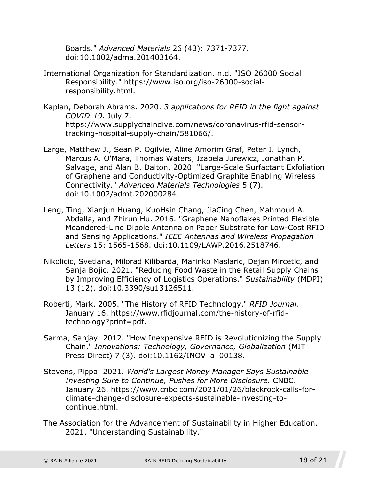Boards." *Advanced Materials* 26 (43): 7371-7377. doi:10.1002/adma.201403164.

- International Organization for Standardization. n.d. "ISO 26000 Social Responsibility." https://www.iso.org/iso-26000-socialresponsibility.html.
- Kaplan, Deborah Abrams. 2020. *3 applications for RFID in the fight against COVID-19.* July 7. https://www.supplychaindive.com/news/coronavirus-rfid-sensortracking-hospital-supply-chain/581066/.
- Large, Matthew J., Sean P. Ogilvie, Aline Amorim Graf, Peter J. Lynch, Marcus A. O'Mara, Thomas Waters, Izabela Jurewicz, Jonathan P. Salvage, and Alan B. Dalton. 2020. "Large-Scale Surfactant Exfoliation of Graphene and Conductivity-Optimized Graphite Enabling Wireless Connectivity." *Advanced Materials Technologies* 5 (7). doi:10.1002/admt.202000284.
- Leng, Ting, Xianjun Huang, KuoHsin Chang, JiaCing Chen, Mahmoud A. Abdalla, and Zhirun Hu. 2016. "Graphene Nanoflakes Printed Flexible Meandered-Line Dipole Antenna on Paper Substrate for Low-Cost RFID and Sensing Applications." *IEEE Antennas and Wireless Propagation Letters* 15: 1565-1568. doi:10.1109/LAWP.2016.2518746.
- Nikolicic, Svetlana, Milorad Kilibarda, Marinko Maslaric, Dejan Mircetic, and Sanja Bojic. 2021. "Reducing Food Waste in the Retail Supply Chains by Improving Efficiency of Logistics Operations." *Sustainability* (MDPI) 13 (12). doi:10.3390/su13126511.
- Roberti, Mark. 2005. "The History of RFID Technology." *RFID Journal.* January 16. https://www.rfidjournal.com/the-history-of-rfidtechnology?print=pdf.
- Sarma, Sanjay. 2012. "How Inexpensive RFID is Revolutionizing the Supply Chain." *Innovations: Technology, Governance, Globalization* (MIT Press Direct) 7 (3). doi:10.1162/INOV\_a\_00138.
- Stevens, Pippa. 2021. *World's Largest Money Manager Says Sustainable Investing Sure to Continue, Pushes for More Disclosure.* CNBC. January 26. https://www.cnbc.com/2021/01/26/blackrock-calls-forclimate-change-disclosure-expects-sustainable-investing-tocontinue.html.
- The Association for the Advancement of Sustainability in Higher Education. 2021. "Understanding Sustainability."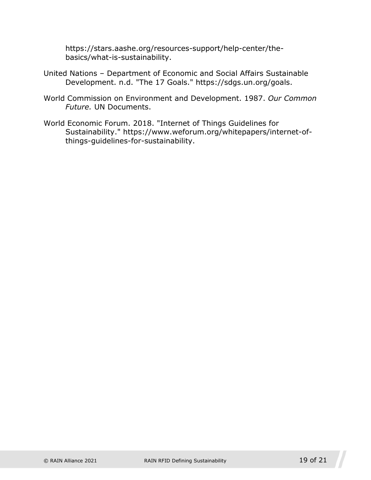https://stars.aashe.org/resources-support/help-center/thebasics/what-is-sustainability.

- United Nations Department of Economic and Social Affairs Sustainable Development. n.d. "The 17 Goals." https://sdgs.un.org/goals.
- World Commission on Environment and Development. 1987. *Our Common Future.* UN Documents.
- World Economic Forum. 2018. "Internet of Things Guidelines for Sustainability." https://www.weforum.org/whitepapers/internet-ofthings-guidelines-for-sustainability.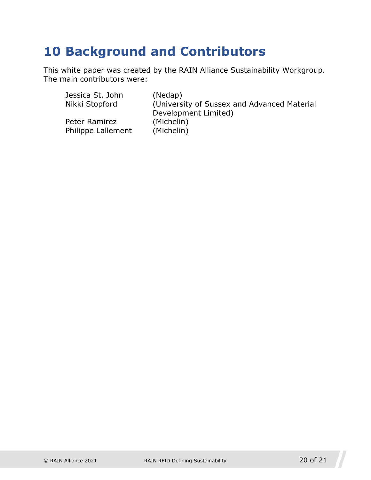# <span id="page-19-0"></span>**10 Background and Contributors**

This white paper was created by the RAIN Alliance Sustainability Workgroup. The main contributors were:

| Jessica St. John   | (Nedap)                                     |
|--------------------|---------------------------------------------|
| Nikki Stopford     | (University of Sussex and Advanced Material |
|                    | Development Limited)                        |
| Peter Ramirez      | (Michelin)                                  |
| Philippe Lallement | (Michelin)                                  |